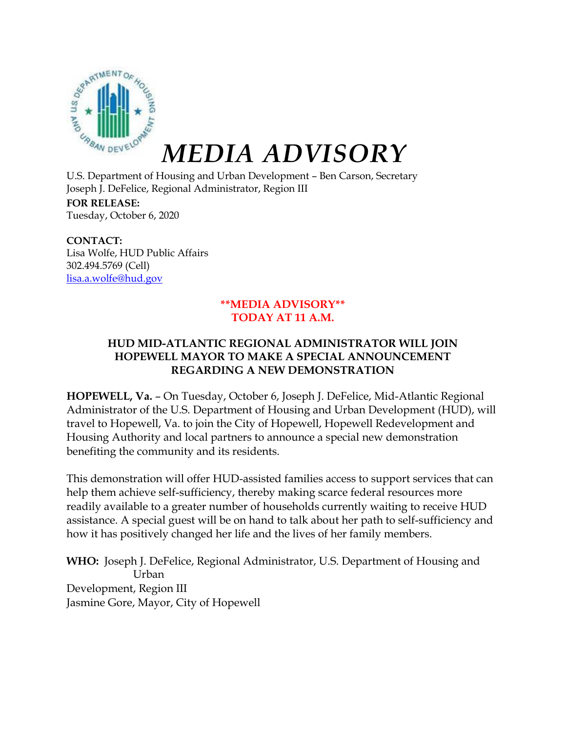

## *MEDIA ADVISORY*

U.S. Department of Housing and Urban Development – Ben Carson, Secretary Joseph J. DeFelice, Regional Administrator, Region III **FOR RELEASE:** Tuesday, October 6, 2020

**CONTACT:** Lisa Wolfe, HUD Public Affairs 302.494.5769 (Cell) [lisa.a.wolfe@hud.gov](mailto:lisa.a.wolfe@hud.gov)

## **\*\*MEDIA ADVISORY\*\* TODAY AT 11 A.M.**

## **HUD MID-ATLANTIC REGIONAL ADMINISTRATOR WILL JOIN HOPEWELL MAYOR TO MAKE A SPECIAL ANNOUNCEMENT REGARDING A NEW DEMONSTRATION**

**HOPEWELL, Va.** – On Tuesday, October 6, Joseph J. DeFelice, Mid-Atlantic Regional Administrator of the U.S. Department of Housing and Urban Development (HUD), will travel to Hopewell, Va. to join the City of Hopewell, Hopewell Redevelopment and Housing Authority and local partners to announce a special new demonstration benefiting the community and its residents.

This demonstration will offer HUD-assisted families access to support services that can help them achieve self-sufficiency, thereby making scarce federal resources more readily available to a greater number of households currently waiting to receive HUD assistance. A special guest will be on hand to talk about her path to self-sufficiency and how it has positively changed her life and the lives of her family members.

Development, Region III Jasmine Gore, Mayor, City of Hopewell **WHO:** Joseph J. DeFelice, Regional Administrator, U.S. Department of Housing and Urban